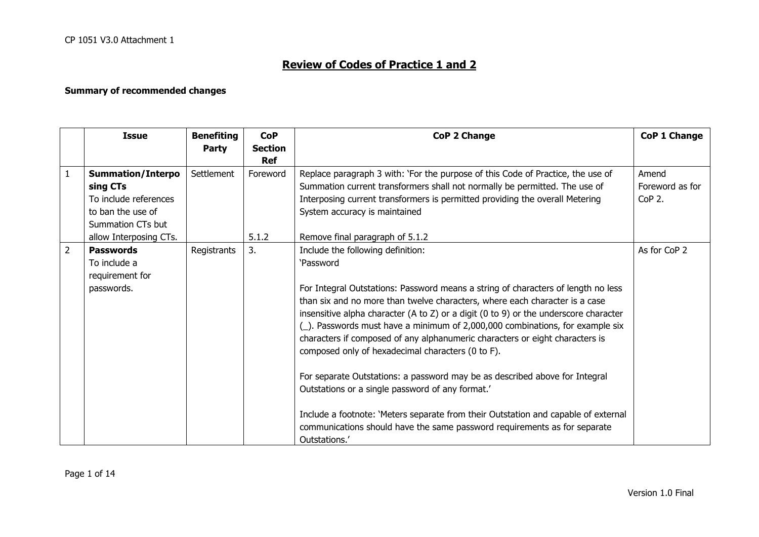|                | <b>Issue</b>                                                                                                                      | <b>Benefiting</b> | <b>CoP</b>                   | <b>CoP 2 Change</b>                                                                                                                                                                                                                                                                                                                                                                                                                                                                                                                                                                                                                                                                                                                                                                                                                                     | <b>CoP 1 Change</b>                  |
|----------------|-----------------------------------------------------------------------------------------------------------------------------------|-------------------|------------------------------|---------------------------------------------------------------------------------------------------------------------------------------------------------------------------------------------------------------------------------------------------------------------------------------------------------------------------------------------------------------------------------------------------------------------------------------------------------------------------------------------------------------------------------------------------------------------------------------------------------------------------------------------------------------------------------------------------------------------------------------------------------------------------------------------------------------------------------------------------------|--------------------------------------|
|                |                                                                                                                                   | Party             | <b>Section</b><br><b>Ref</b> |                                                                                                                                                                                                                                                                                                                                                                                                                                                                                                                                                                                                                                                                                                                                                                                                                                                         |                                      |
| $\mathbf{1}$   | <b>Summation/Interpo</b><br>sing CTs<br>To include references<br>to ban the use of<br>Summation CTs but<br>allow Interposing CTs. | Settlement        | Foreword<br>5.1.2            | Replace paragraph 3 with: 'For the purpose of this Code of Practice, the use of<br>Summation current transformers shall not normally be permitted. The use of<br>Interposing current transformers is permitted providing the overall Metering<br>System accuracy is maintained<br>Remove final paragraph of 5.1.2                                                                                                                                                                                                                                                                                                                                                                                                                                                                                                                                       | Amend<br>Foreword as for<br>$CoP2$ . |
| $\overline{2}$ | <b>Passwords</b><br>To include a<br>requirement for<br>passwords.                                                                 | Registrants       | 3.                           | Include the following definition:<br>'Password<br>For Integral Outstations: Password means a string of characters of length no less<br>than six and no more than twelve characters, where each character is a case<br>insensitive alpha character (A to Z) or a digit (0 to 9) or the underscore character<br>(_). Passwords must have a minimum of 2,000,000 combinations, for example six<br>characters if composed of any alphanumeric characters or eight characters is<br>composed only of hexadecimal characters (0 to F).<br>For separate Outstations: a password may be as described above for Integral<br>Outstations or a single password of any format.'<br>Include a footnote: 'Meters separate from their Outstation and capable of external<br>communications should have the same password requirements as for separate<br>Outstations.' | As for CoP 2                         |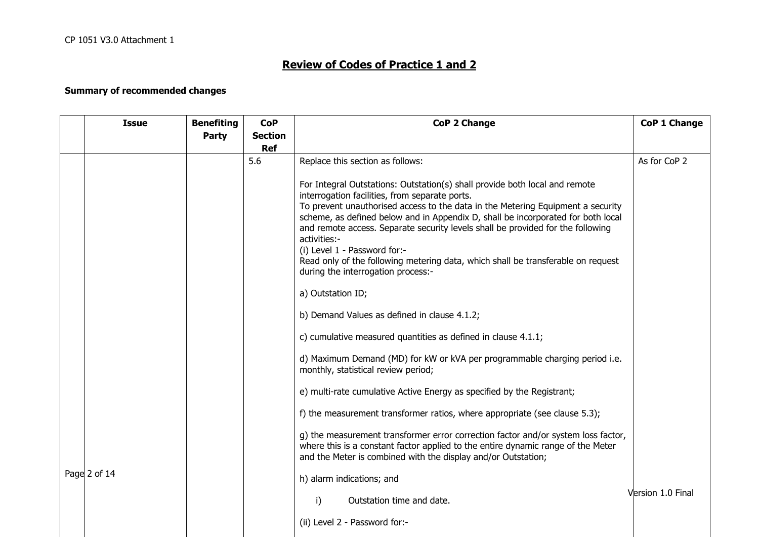| <b>Issue</b> | <b>Benefiting</b><br>Party | <b>CoP</b><br><b>Section</b><br><b>Ref</b> | <b>CoP 2 Change</b>                                                                                                                                                                                                                                                                                                                                                                                                                                                                                                                                                                                                                                                                                                                                                                                                                                              | <b>CoP 1 Change</b> |
|--------------|----------------------------|--------------------------------------------|------------------------------------------------------------------------------------------------------------------------------------------------------------------------------------------------------------------------------------------------------------------------------------------------------------------------------------------------------------------------------------------------------------------------------------------------------------------------------------------------------------------------------------------------------------------------------------------------------------------------------------------------------------------------------------------------------------------------------------------------------------------------------------------------------------------------------------------------------------------|---------------------|
|              |                            | 5.6                                        | Replace this section as follows:<br>For Integral Outstations: Outstation(s) shall provide both local and remote<br>interrogation facilities, from separate ports.<br>To prevent unauthorised access to the data in the Metering Equipment a security<br>scheme, as defined below and in Appendix D, shall be incorporated for both local<br>and remote access. Separate security levels shall be provided for the following<br>activities:-<br>(i) Level 1 - Password for:-<br>Read only of the following metering data, which shall be transferable on request<br>during the interrogation process:-<br>a) Outstation ID;<br>b) Demand Values as defined in clause 4.1.2;<br>c) cumulative measured quantities as defined in clause 4.1.1;<br>d) Maximum Demand (MD) for kW or kVA per programmable charging period i.e.<br>monthly, statistical review period; | As for CoP 2        |
| Page 2 of 14 |                            |                                            | e) multi-rate cumulative Active Energy as specified by the Registrant;<br>f) the measurement transformer ratios, where appropriate (see clause 5.3);<br>g) the measurement transformer error correction factor and/or system loss factor,<br>where this is a constant factor applied to the entire dynamic range of the Meter<br>and the Meter is combined with the display and/or Outstation;<br>h) alarm indications; and<br>i)<br>Outstation time and date.<br>(ii) Level 2 - Password for:-                                                                                                                                                                                                                                                                                                                                                                  | Version 1.0 Final   |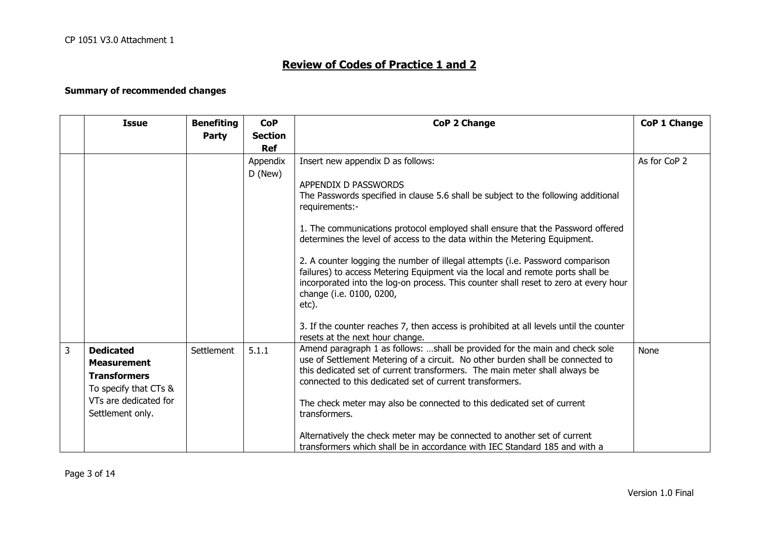|                | <b>Issue</b>                                                                                                                        | <b>Benefiting</b><br>Party | <b>CoP</b><br><b>Section</b> | <b>CoP 2 Change</b>                                                                                                                                                                                                                                                                                                                                                                                                                                                                                                                                                                                                                     | <b>CoP 1 Change</b> |
|----------------|-------------------------------------------------------------------------------------------------------------------------------------|----------------------------|------------------------------|-----------------------------------------------------------------------------------------------------------------------------------------------------------------------------------------------------------------------------------------------------------------------------------------------------------------------------------------------------------------------------------------------------------------------------------------------------------------------------------------------------------------------------------------------------------------------------------------------------------------------------------------|---------------------|
|                |                                                                                                                                     |                            | <b>Ref</b>                   |                                                                                                                                                                                                                                                                                                                                                                                                                                                                                                                                                                                                                                         |                     |
|                |                                                                                                                                     |                            | Appendix<br>D (New)          | Insert new appendix D as follows:<br><b>APPENDIX D PASSWORDS</b><br>The Passwords specified in clause 5.6 shall be subject to the following additional<br>requirements:-<br>1. The communications protocol employed shall ensure that the Password offered<br>determines the level of access to the data within the Metering Equipment.<br>2. A counter logging the number of illegal attempts (i.e. Password comparison<br>failures) to access Metering Equipment via the local and remote ports shall be<br>incorporated into the log-on process. This counter shall reset to zero at every hour<br>change (i.e. 0100, 0200,<br>etc). | As for CoP 2        |
|                |                                                                                                                                     |                            |                              | 3. If the counter reaches 7, then access is prohibited at all levels until the counter<br>resets at the next hour change.                                                                                                                                                                                                                                                                                                                                                                                                                                                                                                               |                     |
| $\overline{3}$ | <b>Dedicated</b><br><b>Measurement</b><br><b>Transformers</b><br>To specify that CTs &<br>VTs are dedicated for<br>Settlement only. | Settlement                 | 5.1.1                        | Amend paragraph 1 as follows: shall be provided for the main and check sole<br>use of Settlement Metering of a circuit. No other burden shall be connected to<br>this dedicated set of current transformers. The main meter shall always be<br>connected to this dedicated set of current transformers.<br>The check meter may also be connected to this dedicated set of current<br>transformers.                                                                                                                                                                                                                                      | None                |
|                |                                                                                                                                     |                            |                              | Alternatively the check meter may be connected to another set of current<br>transformers which shall be in accordance with IEC Standard 185 and with a                                                                                                                                                                                                                                                                                                                                                                                                                                                                                  |                     |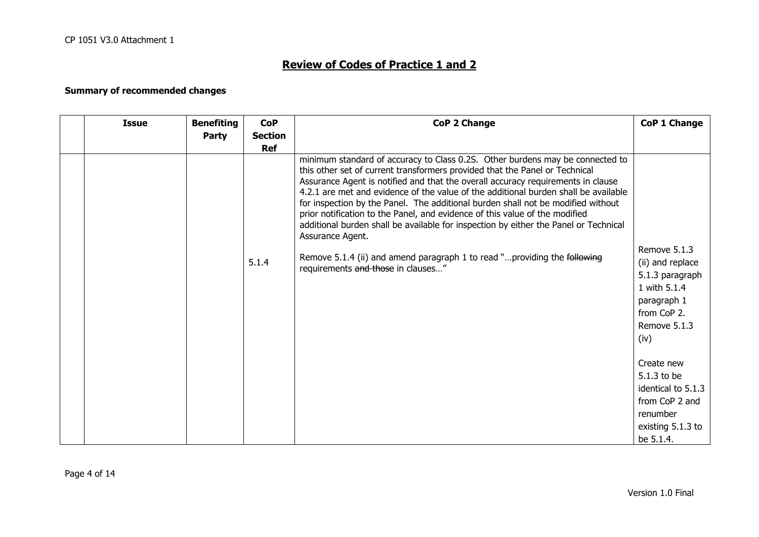| <b>Issue</b> | <b>Benefiting</b> | <b>CoP</b>     | <b>CoP 2 Change</b>                                                                                                                                                                                                                                                                                                                                                                                                                                                                                                                                                                                                                                                                                                                      | <b>CoP 1 Change</b>                                                                                                       |
|--------------|-------------------|----------------|------------------------------------------------------------------------------------------------------------------------------------------------------------------------------------------------------------------------------------------------------------------------------------------------------------------------------------------------------------------------------------------------------------------------------------------------------------------------------------------------------------------------------------------------------------------------------------------------------------------------------------------------------------------------------------------------------------------------------------------|---------------------------------------------------------------------------------------------------------------------------|
|              | Party             | <b>Section</b> |                                                                                                                                                                                                                                                                                                                                                                                                                                                                                                                                                                                                                                                                                                                                          |                                                                                                                           |
|              |                   | <b>Ref</b>     |                                                                                                                                                                                                                                                                                                                                                                                                                                                                                                                                                                                                                                                                                                                                          |                                                                                                                           |
|              |                   | 5.1.4          | minimum standard of accuracy to Class 0.2S. Other burdens may be connected to<br>this other set of current transformers provided that the Panel or Technical<br>Assurance Agent is notified and that the overall accuracy requirements in clause<br>4.2.1 are met and evidence of the value of the additional burden shall be available<br>for inspection by the Panel. The additional burden shall not be modified without<br>prior notification to the Panel, and evidence of this value of the modified<br>additional burden shall be available for inspection by either the Panel or Technical<br>Assurance Agent.<br>Remove 5.1.4 (ii) and amend paragraph 1 to read "providing the following<br>requirements and those in clauses" | Remove 5.1.3<br>(ii) and replace<br>5.1.3 paragraph<br>1 with 5.1.4<br>paragraph 1<br>from CoP 2.<br>Remove 5.1.3<br>(iv) |
|              |                   |                |                                                                                                                                                                                                                                                                                                                                                                                                                                                                                                                                                                                                                                                                                                                                          | Create new<br>5.1.3 to be<br>identical to 5.1.3                                                                           |
|              |                   |                |                                                                                                                                                                                                                                                                                                                                                                                                                                                                                                                                                                                                                                                                                                                                          | from CoP 2 and                                                                                                            |
|              |                   |                |                                                                                                                                                                                                                                                                                                                                                                                                                                                                                                                                                                                                                                                                                                                                          | renumber                                                                                                                  |
|              |                   |                |                                                                                                                                                                                                                                                                                                                                                                                                                                                                                                                                                                                                                                                                                                                                          | existing 5.1.3 to                                                                                                         |
|              |                   |                |                                                                                                                                                                                                                                                                                                                                                                                                                                                                                                                                                                                                                                                                                                                                          | be 5.1.4.                                                                                                                 |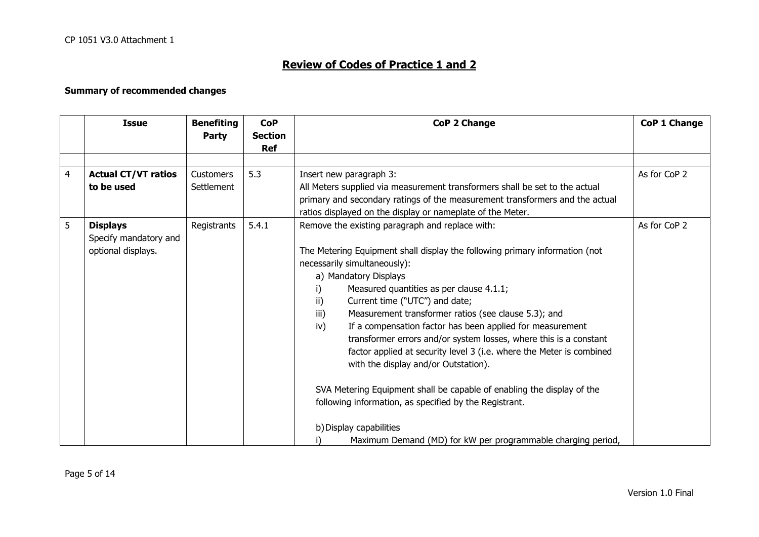|   | <b>Issue</b>                                                   | <b>Benefiting</b><br>Party     | <b>CoP</b><br><b>Section</b> | <b>CoP 2 Change</b>                                                                                                                                                                                                                                                                                                                                                                                                                                                                                                                                                                                                                                                                                                                                                                                                                        | <b>CoP 1 Change</b> |
|---|----------------------------------------------------------------|--------------------------------|------------------------------|--------------------------------------------------------------------------------------------------------------------------------------------------------------------------------------------------------------------------------------------------------------------------------------------------------------------------------------------------------------------------------------------------------------------------------------------------------------------------------------------------------------------------------------------------------------------------------------------------------------------------------------------------------------------------------------------------------------------------------------------------------------------------------------------------------------------------------------------|---------------------|
|   |                                                                |                                | <b>Ref</b>                   |                                                                                                                                                                                                                                                                                                                                                                                                                                                                                                                                                                                                                                                                                                                                                                                                                                            |                     |
|   |                                                                |                                |                              |                                                                                                                                                                                                                                                                                                                                                                                                                                                                                                                                                                                                                                                                                                                                                                                                                                            |                     |
| 4 | <b>Actual CT/VT ratios</b><br>to be used                       | <b>Customers</b><br>Settlement | 5.3                          | Insert new paragraph 3:<br>All Meters supplied via measurement transformers shall be set to the actual<br>primary and secondary ratings of the measurement transformers and the actual<br>ratios displayed on the display or nameplate of the Meter.                                                                                                                                                                                                                                                                                                                                                                                                                                                                                                                                                                                       | As for CoP 2        |
| 5 | <b>Displays</b><br>Specify mandatory and<br>optional displays. | Registrants                    | 5.4.1                        | Remove the existing paragraph and replace with:<br>The Metering Equipment shall display the following primary information (not<br>necessarily simultaneously):<br>a) Mandatory Displays<br>Measured quantities as per clause 4.1.1;<br>i)<br>Current time ("UTC") and date;<br>ii)<br>Measurement transformer ratios (see clause 5.3); and<br>iii)<br>If a compensation factor has been applied for measurement<br>iv)<br>transformer errors and/or system losses, where this is a constant<br>factor applied at security level 3 (i.e. where the Meter is combined<br>with the display and/or Outstation).<br>SVA Metering Equipment shall be capable of enabling the display of the<br>following information, as specified by the Registrant.<br>b) Display capabilities<br>Maximum Demand (MD) for kW per programmable charging period, | As for CoP 2        |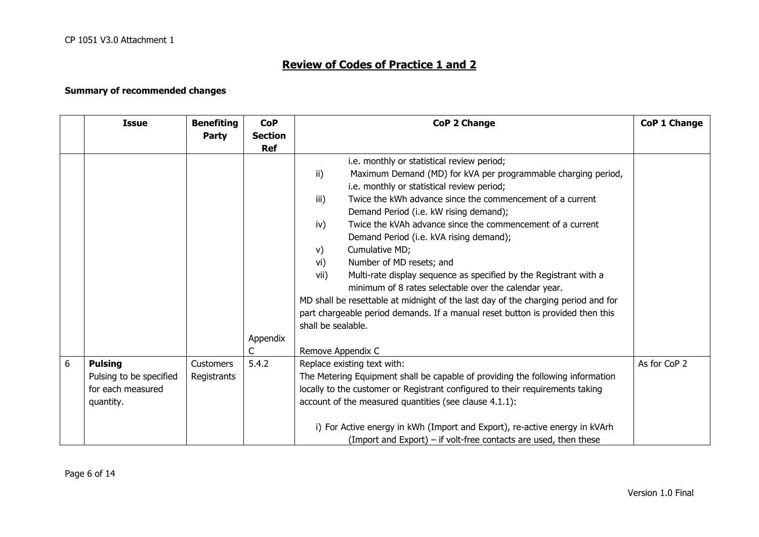|   | <b>Issue</b>            | <b>Benefiting</b> | <b>CoP</b>     | <b>CoP 2 Change</b>                                                                                                | <b>CoP 1 Change</b> |
|---|-------------------------|-------------------|----------------|--------------------------------------------------------------------------------------------------------------------|---------------------|
|   |                         | Party             | <b>Section</b> |                                                                                                                    |                     |
|   |                         |                   | <b>Ref</b>     | i.e. monthly or statistical review period;                                                                         |                     |
|   |                         |                   |                | ii)<br>Maximum Demand (MD) for kVA per programmable charging period,<br>i.e. monthly or statistical review period; |                     |
|   |                         |                   |                | Twice the kWh advance since the commencement of a current<br>iii)                                                  |                     |
|   |                         |                   |                | Demand Period (i.e. kW rising demand);                                                                             |                     |
|   |                         |                   |                | Twice the kVAh advance since the commencement of a current<br>iv)<br>Demand Period (i.e. kVA rising demand);       |                     |
|   |                         |                   |                | Cumulative MD;<br>V)                                                                                               |                     |
|   |                         |                   |                | Number of MD resets; and<br>vi)                                                                                    |                     |
|   |                         |                   |                | Multi-rate display sequence as specified by the Registrant with a<br>vii)                                          |                     |
|   |                         |                   |                | minimum of 8 rates selectable over the calendar year.                                                              |                     |
|   |                         |                   |                | MD shall be resettable at midnight of the last day of the charging period and for                                  |                     |
|   |                         |                   |                | part chargeable period demands. If a manual reset button is provided then this                                     |                     |
|   |                         |                   |                | shall be sealable.                                                                                                 |                     |
|   |                         |                   | Appendix       |                                                                                                                    |                     |
|   |                         |                   | C              | Remove Appendix C                                                                                                  |                     |
| 6 | <b>Pulsing</b>          | <b>Customers</b>  | 5.4.2          | Replace existing text with:                                                                                        | As for CoP 2        |
|   | Pulsing to be specified | Registrants       |                | The Metering Equipment shall be capable of providing the following information                                     |                     |
|   | for each measured       |                   |                | locally to the customer or Registrant configured to their requirements taking                                      |                     |
|   | quantity.               |                   |                | account of the measured quantities (see clause 4.1.1):                                                             |                     |
|   |                         |                   |                | i) For Active energy in kWh (Import and Export), re-active energy in kVArh                                         |                     |
|   |                         |                   |                | (Import and Export) – if volt-free contacts are used, then these                                                   |                     |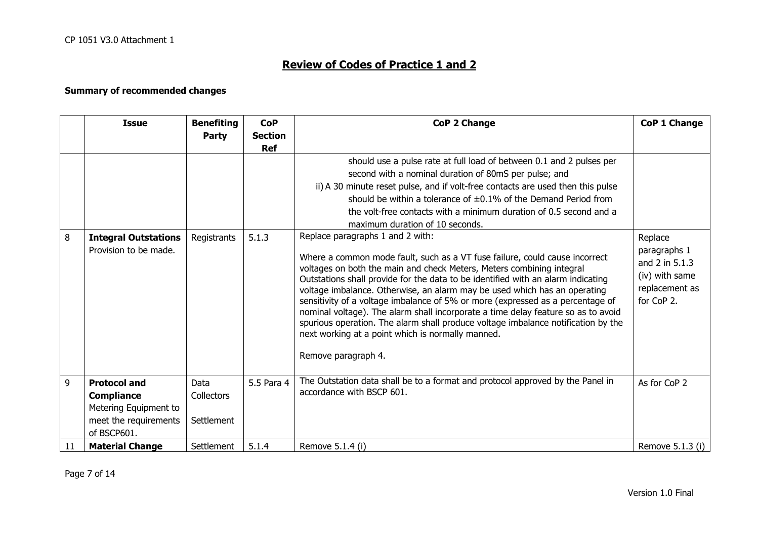#### **Summary of recommended changes**

|    | <b>Issue</b>                                                                                              | <b>Benefiting</b>                       | <b>CoP</b>                   | <b>CoP 2 Change</b>                                                                                                                                                                                                                                                                                                                                                                                                                                                                                                                                                                                                                                                                                                                                                                                                                                                                                                                                                                                                                                                                                     | <b>CoP 1 Change</b>                                                                         |
|----|-----------------------------------------------------------------------------------------------------------|-----------------------------------------|------------------------------|---------------------------------------------------------------------------------------------------------------------------------------------------------------------------------------------------------------------------------------------------------------------------------------------------------------------------------------------------------------------------------------------------------------------------------------------------------------------------------------------------------------------------------------------------------------------------------------------------------------------------------------------------------------------------------------------------------------------------------------------------------------------------------------------------------------------------------------------------------------------------------------------------------------------------------------------------------------------------------------------------------------------------------------------------------------------------------------------------------|---------------------------------------------------------------------------------------------|
|    |                                                                                                           | Party                                   | <b>Section</b><br><b>Ref</b> |                                                                                                                                                                                                                                                                                                                                                                                                                                                                                                                                                                                                                                                                                                                                                                                                                                                                                                                                                                                                                                                                                                         |                                                                                             |
| 8  | <b>Integral Outstations</b><br>Provision to be made.                                                      | Registrants                             | 5.1.3                        | should use a pulse rate at full load of between 0.1 and 2 pulses per<br>second with a nominal duration of 80mS per pulse; and<br>ii) A 30 minute reset pulse, and if volt-free contacts are used then this pulse<br>should be within a tolerance of $\pm 0.1\%$ of the Demand Period from<br>the volt-free contacts with a minimum duration of 0.5 second and a<br>maximum duration of 10 seconds.<br>Replace paragraphs 1 and 2 with:<br>Where a common mode fault, such as a VT fuse failure, could cause incorrect<br>voltages on both the main and check Meters, Meters combining integral<br>Outstations shall provide for the data to be identified with an alarm indicating<br>voltage imbalance. Otherwise, an alarm may be used which has an operating<br>sensitivity of a voltage imbalance of 5% or more (expressed as a percentage of<br>nominal voltage). The alarm shall incorporate a time delay feature so as to avoid<br>spurious operation. The alarm shall produce voltage imbalance notification by the<br>next working at a point which is normally manned.<br>Remove paragraph 4. | Replace<br>paragraphs 1<br>and 2 in 5.1.3<br>(iv) with same<br>replacement as<br>for CoP 2. |
| 9  | <b>Protocol and</b><br><b>Compliance</b><br>Metering Equipment to<br>meet the requirements<br>of BSCP601. | Data<br><b>Collectors</b><br>Settlement | 5.5 Para 4                   | The Outstation data shall be to a format and protocol approved by the Panel in<br>accordance with BSCP 601.                                                                                                                                                                                                                                                                                                                                                                                                                                                                                                                                                                                                                                                                                                                                                                                                                                                                                                                                                                                             | As for CoP 2                                                                                |
| 11 | <b>Material Change</b>                                                                                    | Settlement                              | 5.1.4                        | Remove 5.1.4 (i)                                                                                                                                                                                                                                                                                                                                                                                                                                                                                                                                                                                                                                                                                                                                                                                                                                                                                                                                                                                                                                                                                        | Remove 5.1.3 (i)                                                                            |

Page 7 of 14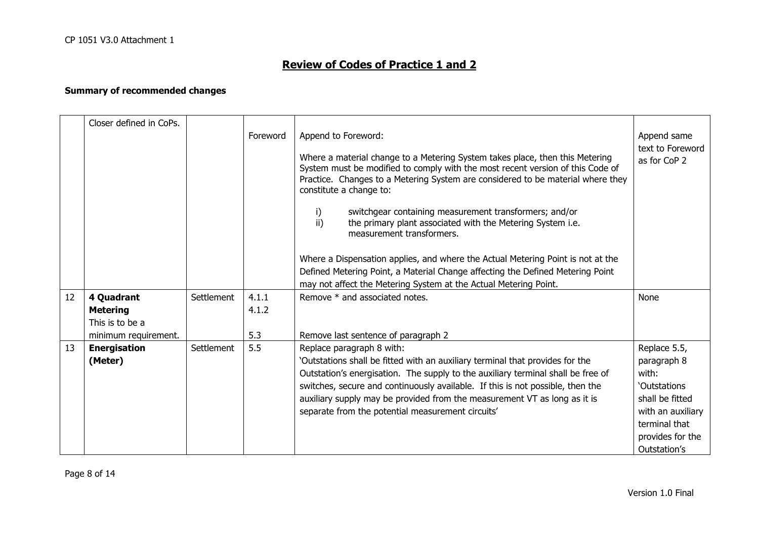|    | Closer defined in CoPs.        |            | Foreword       | Append to Foreword:<br>Where a material change to a Metering System takes place, then this Metering<br>System must be modified to comply with the most recent version of this Code of<br>Practice. Changes to a Metering System are considered to be material where they<br>constitute a change to:<br>switchgear containing measurement transformers; and/or<br>i)<br>$\mathsf{ii}$<br>the primary plant associated with the Metering System i.e.<br>measurement transformers.<br>Where a Dispensation applies, and where the Actual Metering Point is not at the<br>Defined Metering Point, a Material Change affecting the Defined Metering Point | Append same<br>text to Foreword<br>as for CoP 2                                                                                                   |
|----|--------------------------------|------------|----------------|------------------------------------------------------------------------------------------------------------------------------------------------------------------------------------------------------------------------------------------------------------------------------------------------------------------------------------------------------------------------------------------------------------------------------------------------------------------------------------------------------------------------------------------------------------------------------------------------------------------------------------------------------|---------------------------------------------------------------------------------------------------------------------------------------------------|
|    |                                |            |                | may not affect the Metering System at the Actual Metering Point.                                                                                                                                                                                                                                                                                                                                                                                                                                                                                                                                                                                     |                                                                                                                                                   |
| 12 | 4 Quadrant<br><b>Metering</b>  | Settlement | 4.1.1<br>4.1.2 | Remove * and associated notes.                                                                                                                                                                                                                                                                                                                                                                                                                                                                                                                                                                                                                       | None                                                                                                                                              |
|    | This is to be a                |            |                |                                                                                                                                                                                                                                                                                                                                                                                                                                                                                                                                                                                                                                                      |                                                                                                                                                   |
|    | minimum requirement.           |            | 5.3            | Remove last sentence of paragraph 2                                                                                                                                                                                                                                                                                                                                                                                                                                                                                                                                                                                                                  |                                                                                                                                                   |
| 13 | <b>Energisation</b><br>(Meter) | Settlement | 5.5            | Replace paragraph 8 with:<br>'Outstations shall be fitted with an auxiliary terminal that provides for the<br>Outstation's energisation. The supply to the auxiliary terminal shall be free of<br>switches, secure and continuously available. If this is not possible, then the<br>auxiliary supply may be provided from the measurement VT as long as it is<br>separate from the potential measurement circuits'                                                                                                                                                                                                                                   | Replace 5.5,<br>paragraph 8<br>with:<br>'Outstations<br>shall be fitted<br>with an auxiliary<br>terminal that<br>provides for the<br>Outstation's |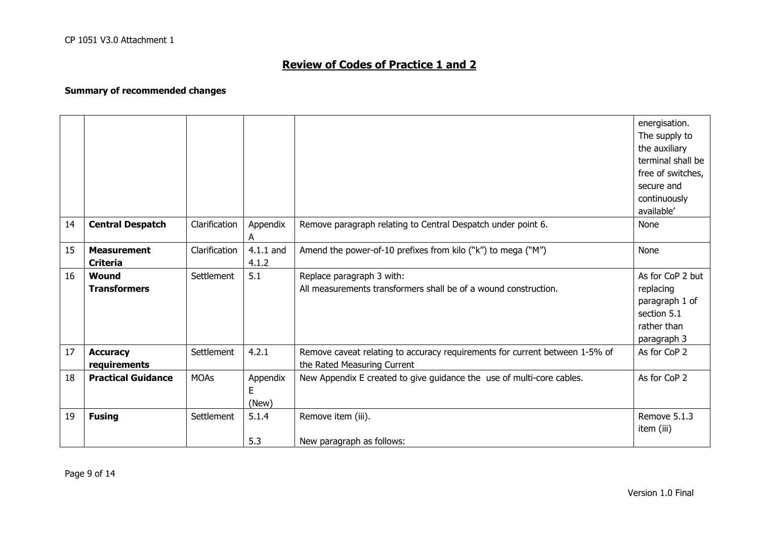|    |                                       |               |                        |                                                                                                            | energisation.<br>The supply to<br>the auxiliary<br>terminal shall be<br>free of switches,<br>secure and<br>continuously |
|----|---------------------------------------|---------------|------------------------|------------------------------------------------------------------------------------------------------------|-------------------------------------------------------------------------------------------------------------------------|
|    |                                       |               |                        |                                                                                                            | available'                                                                                                              |
| 14 | <b>Central Despatch</b>               | Clarification | Appendix<br>A          | Remove paragraph relating to Central Despatch under point 6.                                               | None                                                                                                                    |
| 15 | <b>Measurement</b><br><b>Criteria</b> | Clarification | $4.1.1$ and<br>4.1.2   | Amend the power-of-10 prefixes from kilo ("k") to mega ("M")                                               | None                                                                                                                    |
| 16 | Wound<br><b>Transformers</b>          | Settlement    | 5.1                    | Replace paragraph 3 with:<br>All measurements transformers shall be of a wound construction.               | As for CoP 2 but<br>replacing<br>paragraph 1 of<br>section 5.1<br>rather than<br>paragraph 3                            |
| 17 | <b>Accuracy</b><br>requirements       | Settlement    | 4.2.1                  | Remove caveat relating to accuracy requirements for current between 1-5% of<br>the Rated Measuring Current | As for CoP 2                                                                                                            |
| 18 | <b>Practical Guidance</b>             | <b>MOAs</b>   | Appendix<br>E<br>(New) | New Appendix E created to give guidance the use of multi-core cables.                                      | As for CoP 2                                                                                                            |
| 19 | <b>Fusing</b>                         | Settlement    | 5.1.4<br>5.3           | Remove item (iii).<br>New paragraph as follows:                                                            | Remove 5.1.3<br>item (iii)                                                                                              |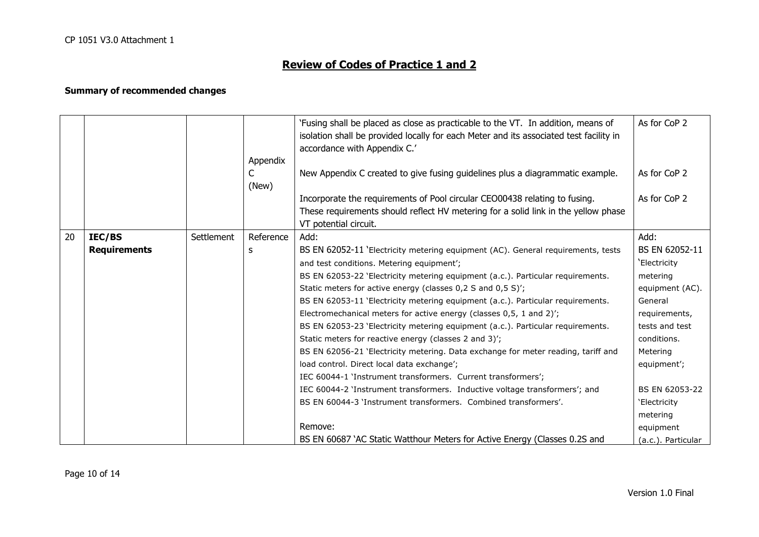|    |                     |            | Appendix<br>$\mathsf{C}$<br>(New) | `Fusing shall be placed as close as practicable to the VT. In addition, means of<br>isolation shall be provided locally for each Meter and its associated test facility in<br>accordance with Appendix C.'<br>New Appendix C created to give fusing guidelines plus a diagrammatic example.<br>Incorporate the requirements of Pool circular CEO00438 relating to fusing.<br>These requirements should reflect HV metering for a solid link in the yellow phase<br>VT potential circuit. | As for CoP 2<br>As for CoP 2<br>As for CoP 2 |
|----|---------------------|------------|-----------------------------------|------------------------------------------------------------------------------------------------------------------------------------------------------------------------------------------------------------------------------------------------------------------------------------------------------------------------------------------------------------------------------------------------------------------------------------------------------------------------------------------|----------------------------------------------|
| 20 | IEC/BS              | Settlement | Reference                         | Add:                                                                                                                                                                                                                                                                                                                                                                                                                                                                                     | Add:                                         |
|    | <b>Requirements</b> |            | s                                 | BS EN 62052-11 'Electricity metering equipment (AC). General requirements, tests                                                                                                                                                                                                                                                                                                                                                                                                         | BS EN 62052-11                               |
|    |                     |            |                                   | and test conditions. Metering equipment';                                                                                                                                                                                                                                                                                                                                                                                                                                                | 'Electricity                                 |
|    |                     |            |                                   | BS EN 62053-22 'Electricity metering equipment (a.c.). Particular requirements.                                                                                                                                                                                                                                                                                                                                                                                                          | metering                                     |
|    |                     |            |                                   | Static meters for active energy (classes 0,2 S and 0,5 S)';                                                                                                                                                                                                                                                                                                                                                                                                                              | equipment (AC).                              |
|    |                     |            |                                   | BS EN 62053-11 'Electricity metering equipment (a.c.). Particular requirements.                                                                                                                                                                                                                                                                                                                                                                                                          | General                                      |
|    |                     |            |                                   | Electromechanical meters for active energy (classes 0,5, 1 and 2)';                                                                                                                                                                                                                                                                                                                                                                                                                      | requirements,                                |
|    |                     |            |                                   | BS EN 62053-23 'Electricity metering equipment (a.c.). Particular requirements.                                                                                                                                                                                                                                                                                                                                                                                                          | tests and test                               |
|    |                     |            |                                   | Static meters for reactive energy (classes 2 and 3)';                                                                                                                                                                                                                                                                                                                                                                                                                                    | conditions.                                  |
|    |                     |            |                                   | BS EN 62056-21 'Electricity metering. Data exchange for meter reading, tariff and                                                                                                                                                                                                                                                                                                                                                                                                        | Metering                                     |
|    |                     |            |                                   | load control. Direct local data exchange';                                                                                                                                                                                                                                                                                                                                                                                                                                               | equipment';                                  |
|    |                     |            |                                   | IEC 60044-1 'Instrument transformers. Current transformers';                                                                                                                                                                                                                                                                                                                                                                                                                             |                                              |
|    |                     |            |                                   | IEC 60044-2 'Instrument transformers. Inductive voltage transformers'; and                                                                                                                                                                                                                                                                                                                                                                                                               | BS EN 62053-22                               |
|    |                     |            |                                   | BS EN 60044-3 'Instrument transformers. Combined transformers'.                                                                                                                                                                                                                                                                                                                                                                                                                          | 'Electricity                                 |
|    |                     |            |                                   |                                                                                                                                                                                                                                                                                                                                                                                                                                                                                          | metering                                     |
|    |                     |            |                                   | Remove:                                                                                                                                                                                                                                                                                                                                                                                                                                                                                  | equipment                                    |
|    |                     |            |                                   | BS EN 60687 'AC Static Watthour Meters for Active Energy (Classes 0.2S and                                                                                                                                                                                                                                                                                                                                                                                                               | (a.c.). Particular                           |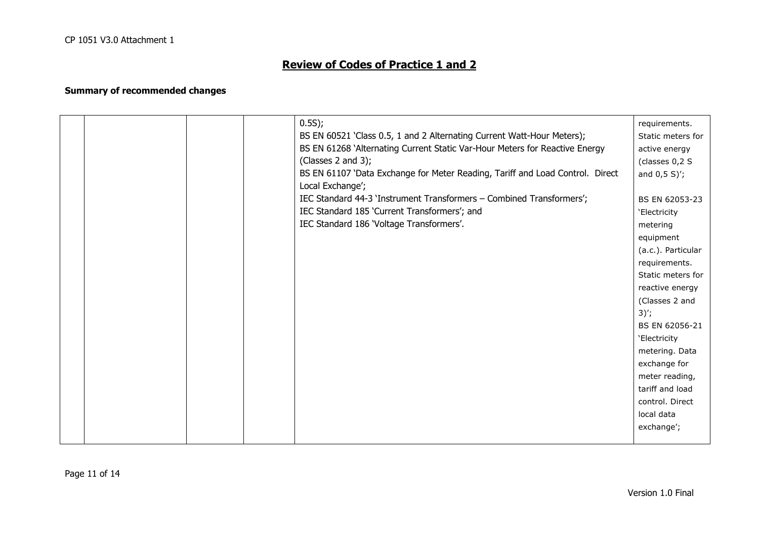|  | 0.5S);                                                                                            | requirements.      |
|--|---------------------------------------------------------------------------------------------------|--------------------|
|  | BS EN 60521 'Class 0.5, 1 and 2 Alternating Current Watt-Hour Meters);                            | Static meters for  |
|  | BS EN 61268 'Alternating Current Static Var-Hour Meters for Reactive Energy                       | active energy      |
|  | (Classes 2 and 3);                                                                                | (classes 0,2 S     |
|  | BS EN 61107 'Data Exchange for Meter Reading, Tariff and Load Control. Direct<br>Local Exchange'; | and $0,5 S$ ;      |
|  | IEC Standard 44-3 'Instrument Transformers - Combined Transformers';                              |                    |
|  |                                                                                                   | BS EN 62053-23     |
|  | IEC Standard 185 'Current Transformers'; and                                                      | 'Electricity       |
|  | IEC Standard 186 'Voltage Transformers'.                                                          | metering           |
|  |                                                                                                   | equipment          |
|  |                                                                                                   | (a.c.). Particular |
|  |                                                                                                   | requirements.      |
|  |                                                                                                   | Static meters for  |
|  |                                                                                                   | reactive energy    |
|  |                                                                                                   | (Classes 2 and     |
|  |                                                                                                   | $3)$ ;             |
|  |                                                                                                   | BS EN 62056-21     |
|  |                                                                                                   | 'Electricity       |
|  |                                                                                                   | metering. Data     |
|  |                                                                                                   | exchange for       |
|  |                                                                                                   | meter reading,     |
|  |                                                                                                   | tariff and load    |
|  |                                                                                                   | control. Direct    |
|  |                                                                                                   | local data         |
|  |                                                                                                   | exchange';         |
|  |                                                                                                   |                    |
|  |                                                                                                   |                    |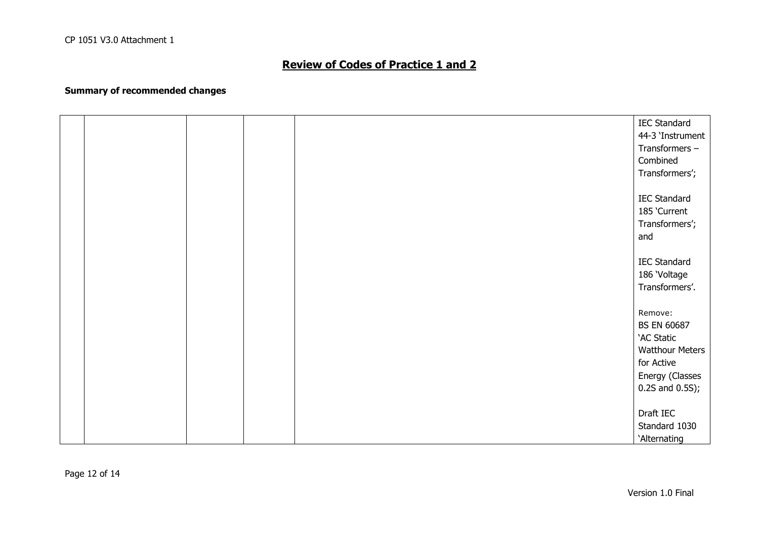|  |  | <b>IEC Standard</b>    |
|--|--|------------------------|
|  |  | 44-3 'Instrument       |
|  |  | Transformers-          |
|  |  | Combined               |
|  |  | Transformers';         |
|  |  |                        |
|  |  | <b>IEC Standard</b>    |
|  |  | 185 'Current           |
|  |  | Transformers';         |
|  |  | and                    |
|  |  |                        |
|  |  | <b>IEC Standard</b>    |
|  |  | 186 'Voltage           |
|  |  | Transformers'.         |
|  |  |                        |
|  |  | Remove:                |
|  |  | <b>BS EN 60687</b>     |
|  |  | 'AC Static             |
|  |  | <b>Watthour Meters</b> |
|  |  | for Active             |
|  |  | Energy (Classes        |
|  |  | $0.2S$ and $0.5S$ );   |
|  |  |                        |
|  |  |                        |
|  |  | Draft IEC              |
|  |  | Standard 1030          |
|  |  | 'Alternating           |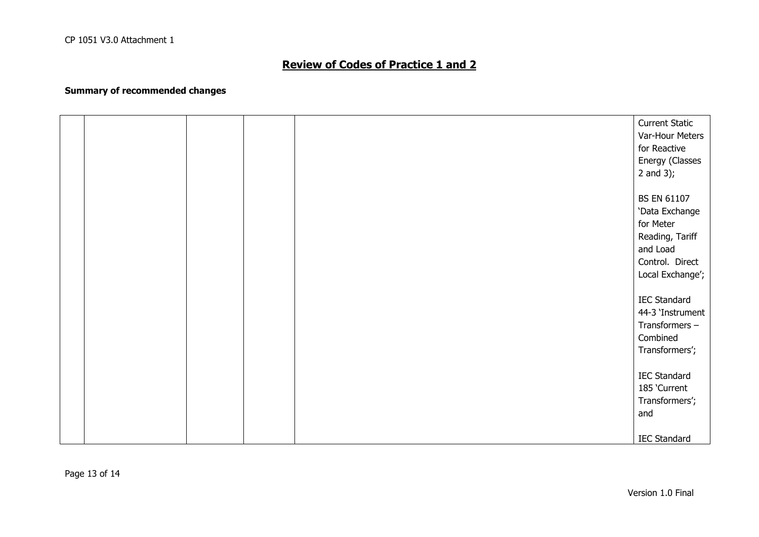|  |  | <b>Current Static</b> |
|--|--|-----------------------|
|  |  | Var-Hour Meters       |
|  |  | for Reactive          |
|  |  | Energy (Classes       |
|  |  | 2 and $3$ ;           |
|  |  |                       |
|  |  | <b>BS EN 61107</b>    |
|  |  | 'Data Exchange        |
|  |  | for Meter             |
|  |  | Reading, Tariff       |
|  |  | and Load              |
|  |  | Control. Direct       |
|  |  | Local Exchange';      |
|  |  |                       |
|  |  | <b>IEC Standard</b>   |
|  |  | 44-3 'Instrument      |
|  |  | Transformers-         |
|  |  | Combined              |
|  |  | Transformers';        |
|  |  |                       |
|  |  | <b>IEC Standard</b>   |
|  |  | 185 'Current          |
|  |  | Transformers';        |
|  |  | and                   |
|  |  |                       |
|  |  | <b>IEC Standard</b>   |